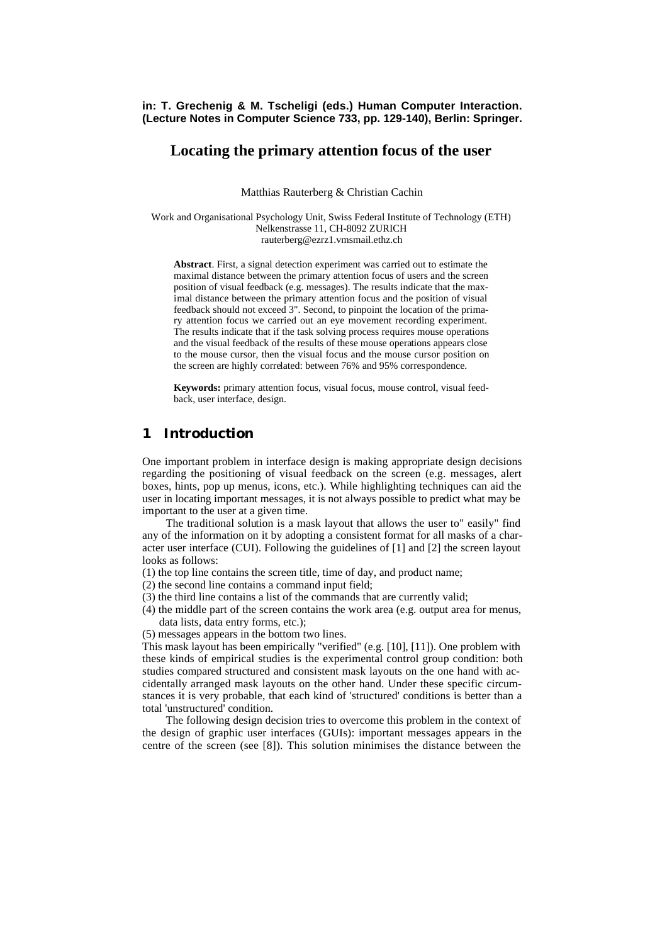**in: T. Grechenig & M. Tscheligi (eds.) Human Computer Interaction. (Lecture Notes in Computer Science 733, pp. 129-140), Berlin: Springer.**

## **Locating the primary attention focus of the user**

Matthias Rauterberg & Christian Cachin

Work and Organisational Psychology Unit, Swiss Federal Institute of Technology (ETH) Nelkenstrasse 11, CH-8092 ZURICH rauterberg@ezrz1.vmsmail.ethz.ch

**Abstract**. First, a signal detection experiment was carried out to estimate the maximal distance between the primary attention focus of users and the screen position of visual feedback (e.g. messages). The results indicate that the maximal distance between the primary attention focus and the position of visual feedback should not exceed 3". Second, to pinpoint the location of the primary attention focus we carried out an eye movement recording experiment. The results indicate that if the task solving process requires mouse operations and the visual feedback of the results of these mouse operations appears close to the mouse cursor, then the visual focus and the mouse cursor position on the screen are highly correlated: between 76% and 95% correspondence.

**Keywords:** primary attention focus, visual focus, mouse control, visual feedback, user interface, design.

## **1 Introduction**

One important problem in interface design is making appropriate design decisions regarding the positioning of visual feedback on the screen (e.g. messages, alert boxes, hints, pop up menus, icons, etc.). While highlighting techniques can aid the user in locating important messages, it is not always possible to predict what may be important to the user at a given time.

The traditional solution is a mask layout that allows the user to" easily" find any of the information on it by adopting a consistent format for all masks of a character user interface (CUI). Following the guidelines of [1] and [2] the screen layout looks as follows:

- (1) the top line contains the screen title, time of day, and product name;
- (2) the second line contains a command input field;
- (3) the third line contains a list of the commands that are currently valid;
- (4) the middle part of the screen contains the work area (e.g. output area for menus, data lists, data entry forms, etc.);
- (5) messages appears in the bottom two lines.

This mask layout has been empirically "verified" (e.g. [10], [11]). One problem with these kinds of empirical studies is the experimental control group condition: both studies compared structured and consistent mask layouts on the one hand with accidentally arranged mask layouts on the other hand. Under these specific circumstances it is very probable, that each kind of 'structured' conditions is better than a total 'unstructured' condition.

The following design decision tries to overcome this problem in the context of the design of graphic user interfaces (GUIs): important messages appears in the centre of the screen (see [8]). This solution minimises the distance between the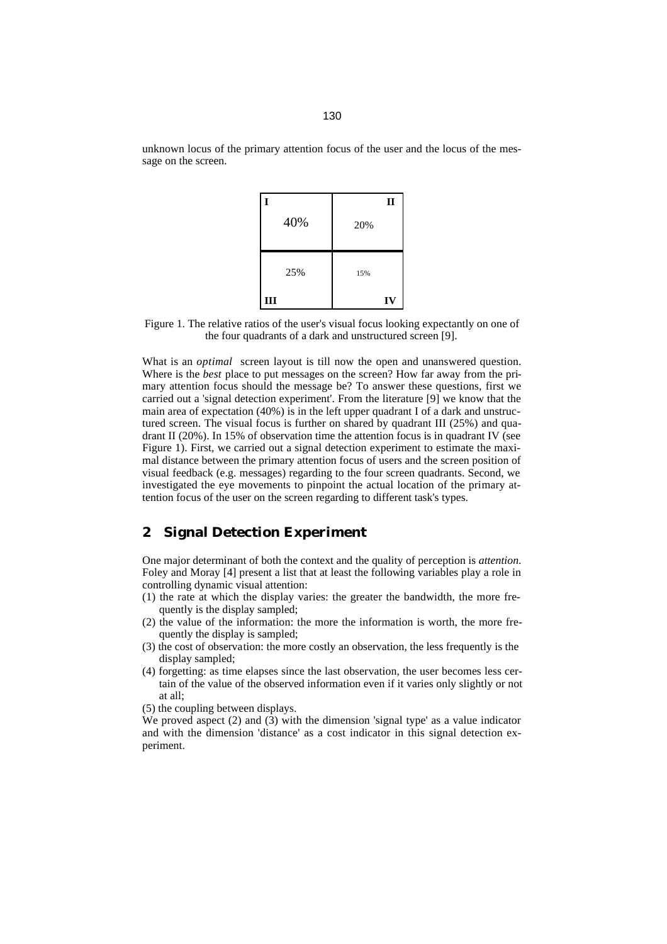130

unknown locus of the primary attention focus of the user and the locus of the message on the screen.



Figure 1. The relative ratios of the user's visual focus looking expectantly on one of the four quadrants of a dark and unstructured screen [9].

What is an *optimal* screen layout is till now the open and unanswered question. Where is the *best* place to put messages on the screen? How far away from the primary attention focus should the message be? To answer these questions, first we carried out a 'signal detection experiment'. From the literature [9] we know that the main area of expectation (40%) is in the left upper quadrant I of a dark and unstructured screen. The visual focus is further on shared by quadrant III (25%) and quadrant II (20%). In 15% of observation time the attention focus is in quadrant IV (see Figure 1). First, we carried out a signal detection experiment to estimate the maximal distance between the primary attention focus of users and the screen position of visual feedback (e.g. messages) regarding to the four screen quadrants. Second, we investigated the eye movements to pinpoint the actual location of the primary attention focus of the user on the screen regarding to different task's types.

# **2 Signal Detection Experiment**

One major determinant of both the context and the quality of perception is *attention*. Foley and Moray [4] present a list that at least the following variables play a role in controlling dynamic visual attention:

- (1) the rate at which the display varies: the greater the bandwidth, the more frequently is the display sampled;
- (2) the value of the information: the more the information is worth, the more frequently the display is sampled;
- (3) the cost of observation: the more costly an observation, the less frequently is the display sampled;
- (4) forgetting: as time elapses since the last observation, the user becomes less certain of the value of the observed information even if it varies only slightly or not at all;

(5) the coupling between displays.

We proved aspect (2) and (3) with the dimension 'signal type' as a value indicator and with the dimension 'distance' as a cost indicator in this signal detection experiment.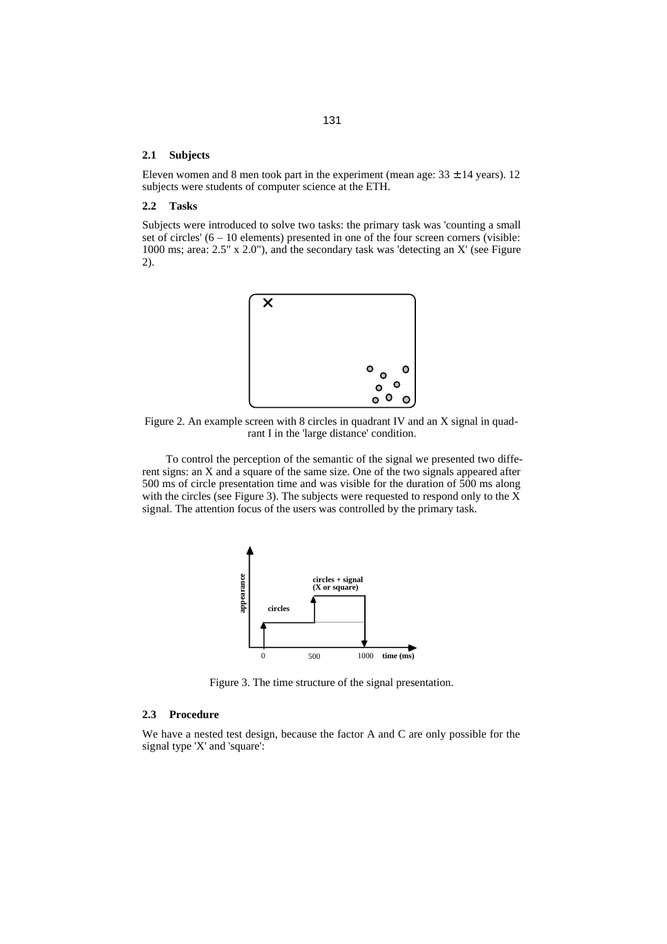### **2.1 Subjects**

Eleven women and 8 men took part in the experiment (mean age:  $33 \pm 14$  years). 12 subjects were students of computer science at the ETH.

### **2.2 Tasks**

Subjects were introduced to solve two tasks: the primary task was 'counting a small set of circles' (6 – 10 elements) presented in one of the four screen corners (visible: 1000 ms; area: 2.5" x 2.0"), and the secondary task was 'detecting an X' (see Figure 2).



Figure 2. An example screen with 8 circles in quadrant IV and an X signal in quadrant I in the 'large distance' condition.

To control the perception of the semantic of the signal we presented two different signs: an X and a square of the same size. One of the two signals appeared after 500 ms of circle presentation time and was visible for the duration of 500 ms along with the circles (see Figure 3). The subjects were requested to respond only to the X signal. The attention focus of the users was controlled by the primary task.



Figure 3. The time structure of the signal presentation.

### **2.3 Procedure**

We have a nested test design, because the factor A and C are only possible for the signal type 'X' and 'square':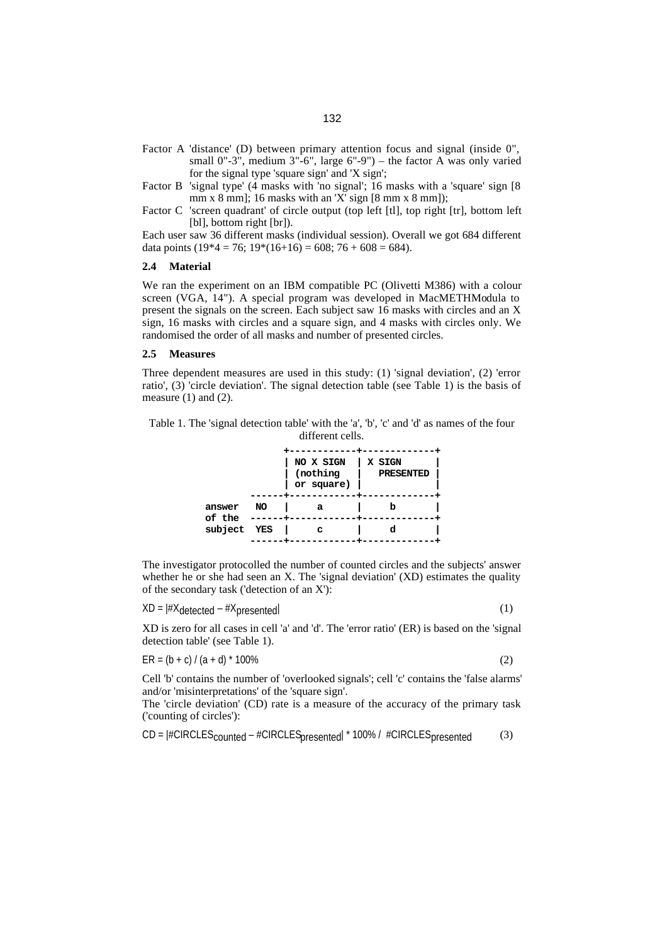- small  $0"$ -3", medium  $3"$ -6", large  $6"$ -9") the factor A was only varied for the signal type 'square sign' and 'X sign';
- Factor B 'signal type' (4 masks with 'no signal'; 16 masks with a 'square' sign [8 mm x 8 mm]; 16 masks with an 'X' sign  $[8 \text{ mm} \times 8 \text{ mm}]$ );
- Factor C 'screen quadrant' of circle output (top left [tl], top right [tr], bottom left [bl], bottom right [br]).

Each user saw 36 different masks (individual session). Overall we got 684 different data points  $(19*4 = 76; 19*(16+16) = 608; 76 + 608 = 684)$ .

### **2.4 Material**

We ran the experiment on an IBM compatible PC (Olivetti M386) with a colour screen (VGA, 14"). A special program was developed in MacMETHModula to present the signals on the screen. Each subject saw 16 masks with circles and an X sign, 16 masks with circles and a square sign, and 4 masks with circles only. We randomised the order of all masks and number of presented circles.

### **2.5 Measures**

Three dependent measures are used in this study: (1) 'signal deviation', (2) 'error ratio', (3) 'circle deviation'. The signal detection table (see Table 1) is the basis of measure  $(1)$  and  $(2)$ .

Table 1. The 'signal detection table' with the 'a', 'b', 'c' and 'd' as names of the four different cells.

|                                 |    | NO X SIGN<br>(nothing<br>or square) | X SIGN<br>PRESENTED |  |
|---------------------------------|----|-------------------------------------|---------------------|--|
| answer<br>of the<br>subject YES | NO | а                                   |                     |  |
|                                 |    | c                                   |                     |  |

The investigator protocolled the number of counted circles and the subjects' answer whether he or she had seen an X. The 'signal deviation' (XD) estimates the quality of the secondary task ('detection of an X'):

 $XD = #X_{detected} - #X_{presented}$  (1)

XD is zero for all cases in cell 'a' and 'd'. The 'error ratio' (ER) is based on the 'signal detection table' (see Table 1).

 $ER = (b + c) / (a + d)^* 100\%$  (2)

Cell 'b' contains the number of 'overlooked signals'; cell 'c' contains the 'false alarms' and/or 'misinterpretations' of the 'square sign'.

The 'circle deviation' (CD) rate is a measure of the accuracy of the primary task ('counting of circles'):

 $CD = |#CIRCLES_{counted} - #CIRCLES_{presented}| * 100% / #CIRCLES_{presented}$  (3)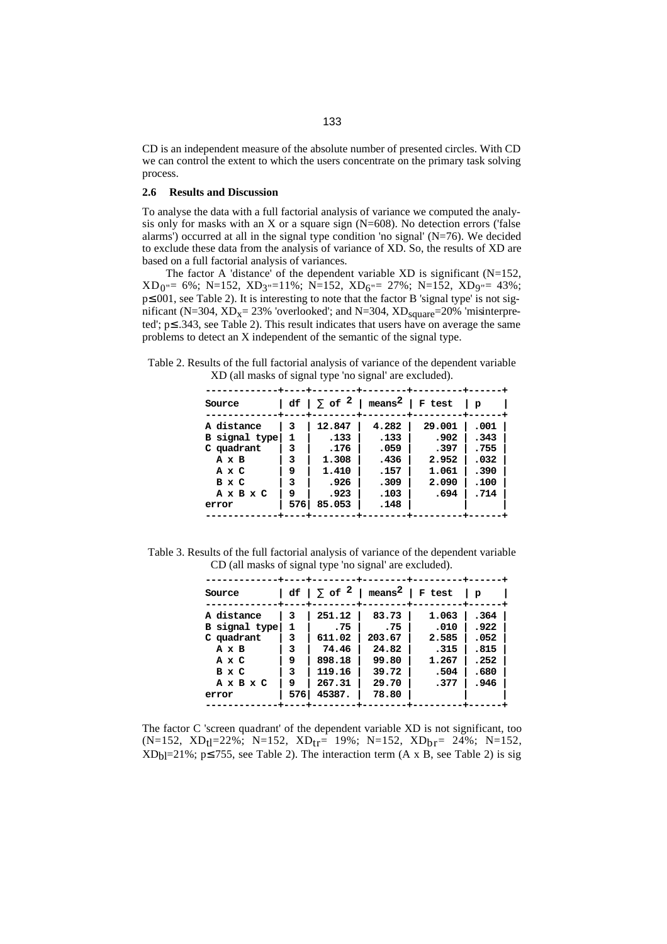CD is an independent measure of the absolute number of presented circles. With CD we can control the extent to which the users concentrate on the primary task solving process.

### **2.6 Results and Discussion**

To analyse the data with a full factorial analysis of variance we computed the analysis only for masks with an X or a square sign  $(N=608)$ . No detection errors ('false alarms') occurred at all in the signal type condition 'no signal'  $(N=76)$ . We decided to exclude these data from the analysis of variance of XD. So, the results of XD are based on a full factorial analysis of variances.

The factor A 'distance' of the dependent variable XD is significant  $(N=152,$  $XD_0 = 6\%; N=152, KD_3=11\%; N=152, KD_6=27\%; N=152, KD_9=43\%;$ p≤.001, see Table 2). It is interesting to note that the factor B 'signal type' is not significant (N=304, XD<sub>x</sub>= 23% 'overlooked'; and N=304, XD<sub>square</sub>=20% 'misinterpreted'; p≤ .343, see Table 2). This result indicates that users have on average the same problems to detect an X independent of the semantic of the signal type.

Table 2. Results of the full factorial analysis of variance of the dependent variable XD (all masks of signal type 'no signal' are excluded).

| Source                                                                             |                                        | $ df  \sum$ of $^2$                                                | means <sup>2</sup>   F test                                   |                                                           | $\mathbf{p}$                                         |
|------------------------------------------------------------------------------------|----------------------------------------|--------------------------------------------------------------------|---------------------------------------------------------------|-----------------------------------------------------------|------------------------------------------------------|
| A distance<br>B signal type<br>C quadrant<br>AхB<br>AxC<br>B x C<br>AxBxC<br>error | 3<br>1<br>3<br>٦<br>9<br>3<br>9<br>576 | 12.847<br>.133<br>.176<br>1.308<br>1.410<br>.926<br>.923<br>85.053 | 4.282<br>.133<br>.059<br>.436<br>.157<br>.309<br>.103<br>.148 | 29.001<br>.902<br>.397<br>2.952<br>1.061<br>2.090<br>.694 | .001<br>.343<br>.755<br>.032<br>.390<br>.100<br>.714 |

Table 3. Results of the full factorial analysis of variance of the dependent variable CD (all masks of signal type 'no signal' are excluded).

| Source        |     | $ df  \sum$ of $^2$ | ${\tt means^2}$ | F test | $\mathbf{p}$ |
|---------------|-----|---------------------|-----------------|--------|--------------|
| A distance    | 3   | 251.12              | 83.73           | 1.063  | .364         |
| B signal type | 1   | .75                 | .75             | .010   | .922         |
| C quadrant    | 3   | 611.02              | 203.67          | 2.585  | .052         |
| AxB           | 3   | 74.46               | 24.82           | .315   | .815         |
| AxC           | 9   | 898.18              | 99.80           | 1.267  | .252         |
| B x C         | 3   | 119.16              | 39.72           | .504   | .680         |
| AxBxC         | 9   | 267.31              | 29.70           | .377   | .946         |
| error         | 576 | 45387.              | 78.80           |        |              |
|               |     |                     |                 |        |              |

The factor C 'screen quadrant' of the dependent variable XD is not significant, too (N=152, XD<sub>tl</sub>=22%; N=152, XD<sub>tr</sub>= 19%; N=152, XD<sub>br</sub>= 24%; N=152,  $XD<sub>bl</sub>=21\%; p \le 755$ , see Table 2). The interaction term (A x B, see Table 2) is sig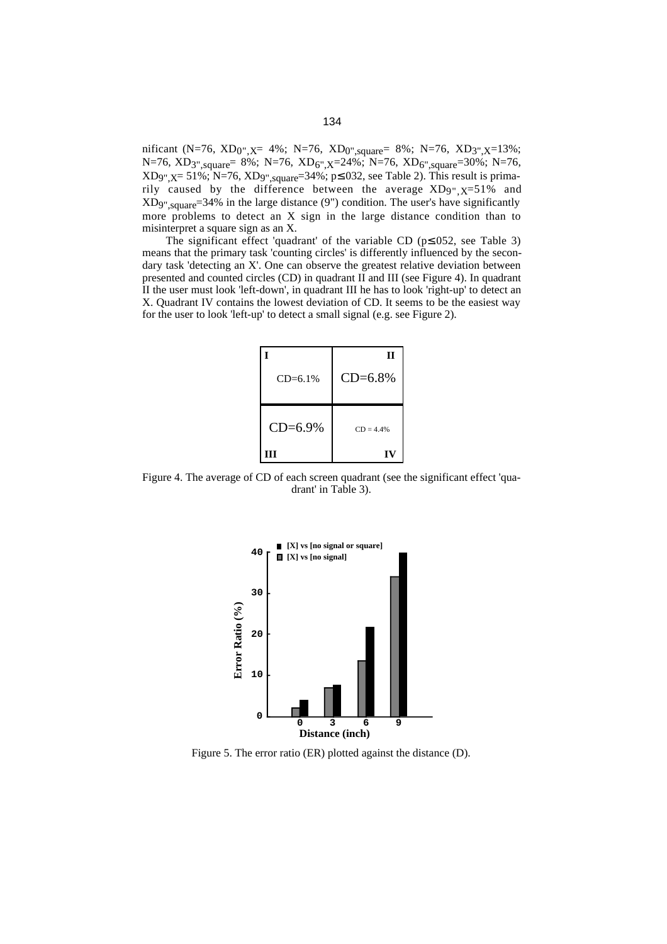nificant (N=76, XD<sub>0",X</sub>= 4%; N=76, XD<sub>0",square</sub>= 8%; N=76, XD<sub>3",X</sub>=13%; N=76, XD<sub>3",square</sub>= 8%; N=76, XD<sub>6",X</sub>=24%; N=76, XD<sub>6",square</sub>=30%; N=76, XD9", $X = 51\%$ ; N=76, XD9",square=34%; p≤.032, see Table 2). This result is primarily caused by the difference between the average  $XD_{9}$ ,  $_X=51\%$  and XD9",square=34% in the large distance (9") condition. The user's have significantly more problems to detect an X sign in the large distance condition than to misinterpret a square sign as an X.

The significant effect 'quadrant' of the variable CD (p≤.052, see Table 3) means that the primary task 'counting circles' is differently influenced by the secondary task 'detecting an X'. One can observe the greatest relative deviation between presented and counted circles (CD) in quadrant II and III (see Figure 4). In quadrant II the user must look 'left-down', in quadrant III he has to look 'right-up' to detect an X. Quadrant IV contains the lowest deviation of CD. It seems to be the easiest way for the user to look 'left-up' to detect a small signal (e.g. see Figure 2).

| $CD = 6.1\%$ | П<br>$CD = 6.8%$ |
|--------------|------------------|
| $CD = 6.9%$  | $CD = 4.4%$      |
| ш            | IV               |

Figure 4. The average of CD of each screen quadrant (see the significant effect 'quadrant' in Table 3).



Figure 5. The error ratio (ER) plotted against the distance (D).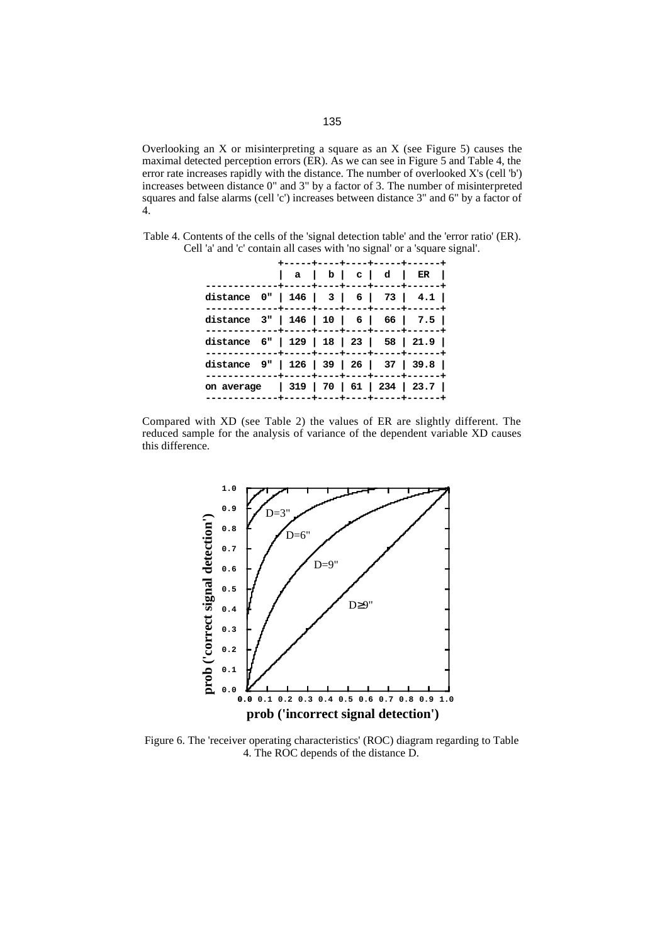Overlooking an X or misinterpreting a square as an X (see Figure 5) causes the maximal detected perception errors (ER). As we can see in Figure 5 and Table 4, the error rate increases rapidly with the distance. The number of overlooked X's (cell 'b') increases between distance 0" and 3" by a factor of 3. The number of misinterpreted squares and false alarms (cell 'c') increases between distance 3" and 6" by a factor of 4.

Table 4. Contents of the cells of the 'signal detection table' and the 'error ratio' (ER). Cell 'a' and 'c' contain all cases with 'no signal' or a 'square signal'.

|                                             |  |  |  | +-----+----+----+-----+-------                                     |  |
|---------------------------------------------|--|--|--|--------------------------------------------------------------------|--|
|                                             |  |  |  | $ a b c d $ ER $ $<br>.--+-----+----+----+-----+---- <b>+-----</b> |  |
| distance $0"   146   3   6   73   4.1  $    |  |  |  |                                                                    |  |
| distance $3"   146   10   6   66   7.5  $   |  |  |  |                                                                    |  |
| distance $6"   129   18   23   58   21.9  $ |  |  |  |                                                                    |  |
| distance $9"   126   39   26   37   39.8  $ |  |  |  |                                                                    |  |
| on average   319   70   61   234   23.7     |  |  |  | ----+-----+----+----+-----+-------                                 |  |
|                                             |  |  |  |                                                                    |  |





Figure 6. The 'receiver operating characteristics' (ROC) diagram regarding to Table 4. The ROC depends of the distance D.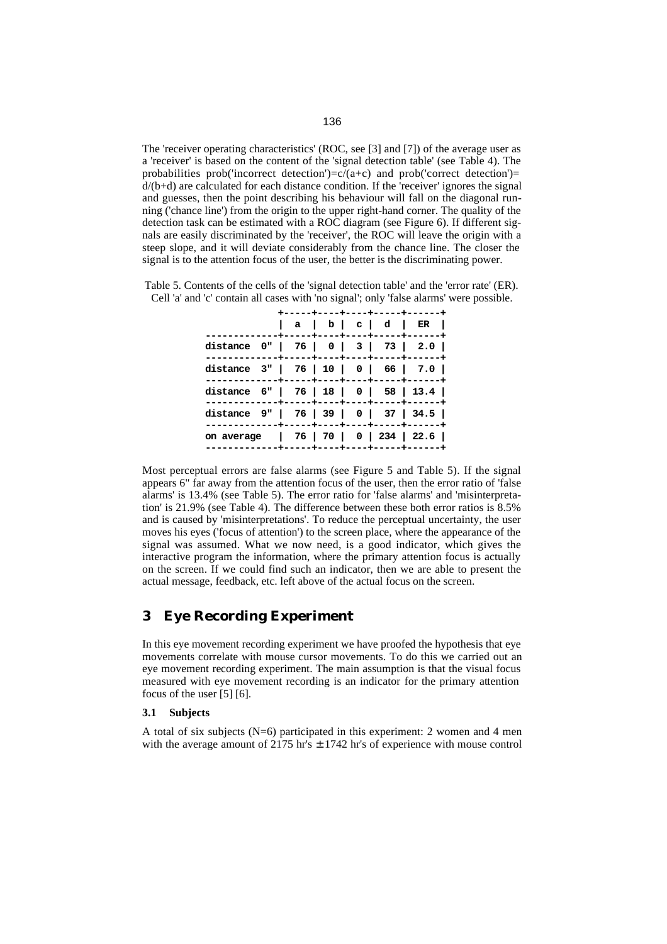The 'receiver operating characteristics' (ROC, see [3] and [7]) of the average user as a 'receiver' is based on the content of the 'signal detection table' (see Table 4). The probabilities prob('incorrect detection')= $c/(a+c)$  and prob('correct detection')=  $d/(b+d)$  are calculated for each distance condition. If the 'receiver' ignores the signal and guesses, then the point describing his behaviour will fall on the diagonal running ('chance line') from the origin to the upper right-hand corner. The quality of the detection task can be estimated with a ROC diagram (see Figure 6). If different signals are easily discriminated by the 'receiver', the ROC will leave the origin with a steep slope, and it will deviate considerably from the chance line. The closer the signal is to the attention focus of the user, the better is the discriminating power.

|                                       |  |  | +-----+----+----+-----+------+                             |  |
|---------------------------------------|--|--|------------------------------------------------------------|--|
|                                       |  |  | a   b   c   d   ER  <br>.---+-----+----+----+-----+------- |  |
| distance 0"   76   0   3   73   2.0   |  |  |                                                            |  |
| distance 3"   76   10   0   66   7.0  |  |  |                                                            |  |
| distance 6"   76   18   0   58   13.4 |  |  |                                                            |  |
| distance 9"   76   39   0   37   34.5 |  |  |                                                            |  |
| on average   76   70   0   234   22.6 |  |  | ---+-----+----+----+-----+-------                          |  |
|                                       |  |  |                                                            |  |

Table 5. Contents of the cells of the 'signal detection table' and the 'error rate' (ER). Cell 'a' and 'c' contain all cases with 'no signal'; only 'false alarms' were possible.

Most perceptual errors are false alarms (see Figure 5 and Table 5). If the signal appears 6" far away from the attention focus of the user, then the error ratio of 'false alarms' is 13.4% (see Table 5). The error ratio for 'false alarms' and 'misinterpretation' is 21.9% (see Table 4). The difference between these both error ratios is 8.5% and is caused by 'misinterpretations'. To reduce the perceptual uncertainty, the user moves his eyes ('focus of attention') to the screen place, where the appearance of the signal was assumed. What we now need, is a good indicator, which gives the interactive program the information, where the primary attention focus is actually on the screen. If we could find such an indicator, then we are able to present the actual message, feedback, etc. left above of the actual focus on the screen.

# **3 Eye Recording Experiment**

In this eye movement recording experiment we have proofed the hypothesis that eye movements correlate with mouse cursor movements. To do this we carried out an eye movement recording experiment. The main assumption is that the visual focus measured with eye movement recording is an indicator for the primary attention focus of the user [5] [6].

### **3.1 Subjects**

A total of six subjects  $(N=6)$  participated in this experiment: 2 women and 4 men with the average amount of  $2175$  hr's  $\pm 1742$  hr's of experience with mouse control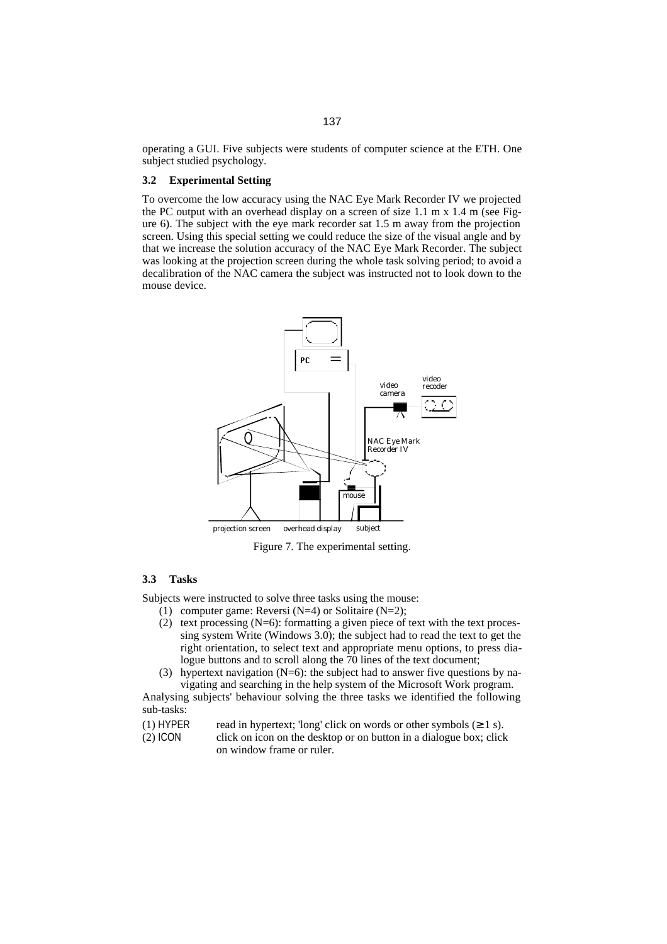operating a GUI. Five subjects were students of computer science at the ETH. One subject studied psychology.

### **3.2 Experimental Setting**

To overcome the low accuracy using the NAC Eye Mark Recorder IV we projected the PC output with an overhead display on a screen of size 1.1 m x 1.4 m (see Figure 6). The subject with the eye mark recorder sat 1.5 m away from the projection screen. Using this special setting we could reduce the size of the visual angle and by that we increase the solution accuracy of the NAC Eye Mark Recorder. The subject was looking at the projection screen during the whole task solving period; to avoid a decalibration of the NAC camera the subject was instructed not to look down to the mouse device.



Figure 7. The experimental setting.

### **3.3 Tasks**

Subjects were instructed to solve three tasks using the mouse:

- (1) computer game: Reversi  $(N=4)$  or Solitaire  $(N=2)$ ;
- (2) text processing (N=6): formatting a given piece of text with the text processing system Write (Windows 3.0); the subject had to read the text to get the right orientation, to select text and appropriate menu options, to press dialogue buttons and to scroll along the 70 lines of the text document;
- (3) hypertext navigation (N=6): the subject had to answer five questions by navigating and searching in the help system of the Microsoft Work program.

Analysing subjects' behaviour solving the three tasks we identified the following sub-tasks:

- (1) HYPER read in hypertext; 'long' click on words or other symbols  $(\geq 1 \text{ s})$ .
- (2) ICON click on icon on the desktop or on button in a dialogue box; click on window frame or ruler.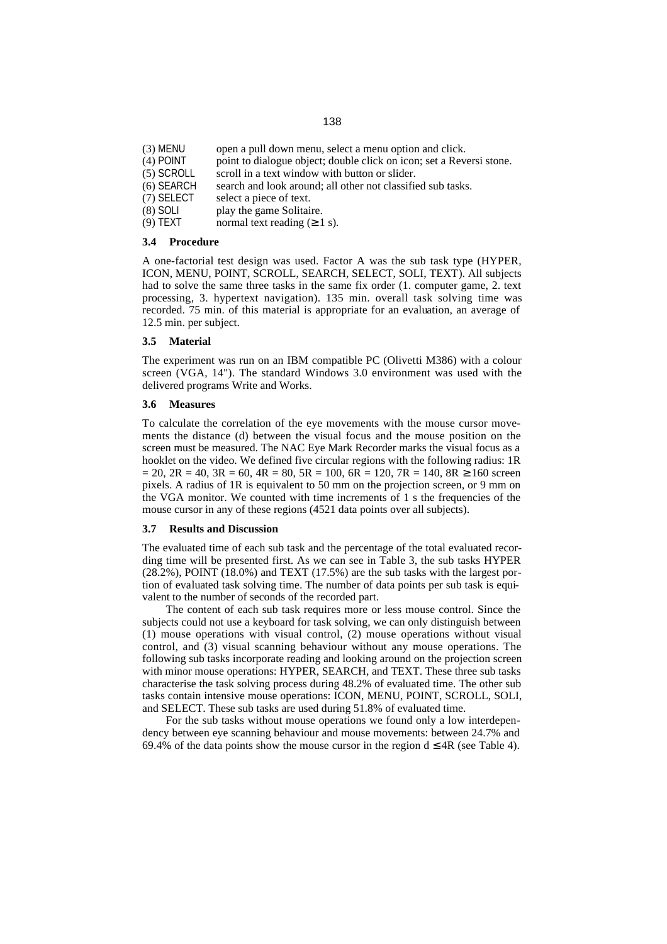- (3) MENU open a pull down menu, select a menu option and click.
- (4) POINT point to dialogue object; double click on icon; set a Reversi stone.
- (5) SCROLL scroll in a text window with button or slider.
- (6) SEARCH search and look around; all other not classified sub tasks.
- (7) SELECT select a piece of text.
- (8) SOLI play the game Solitaire.
- (9) TEXT normal text reading  $(≥ 1 s)$ .

### **3.4 Procedure**

A one-factorial test design was used. Factor A was the sub task type (HYPER, ICON, MENU, POINT, SCROLL, SEARCH, SELECT, SOLI, TEXT). All subjects had to solve the same three tasks in the same fix order (1. computer game, 2. text processing, 3. hypertext navigation). 135 min. overall task solving time was recorded. 75 min. of this material is appropriate for an evaluation, an average of 12.5 min. per subject.

#### **3.5 Material**

The experiment was run on an IBM compatible PC (Olivetti M386) with a colour screen (VGA, 14"). The standard Windows 3.0 environment was used with the delivered programs Write and Works.

#### **3.6 Measures**

To calculate the correlation of the eye movements with the mouse cursor movements the distance (d) between the visual focus and the mouse position on the screen must be measured. The NAC Eye Mark Recorder marks the visual focus as a hooklet on the video. We defined five circular regions with the following radius: 1R  $= 20$ ,  $2R = 40$ ,  $3R = 60$ ,  $4R = 80$ ,  $5R = 100$ ,  $6R = 120$ ,  $7R = 140$ ,  $8R \ge 160$  screen pixels. A radius of 1R is equivalent to 50 mm on the projection screen, or 9 mm on the VGA monitor. We counted with time increments of 1 s the frequencies of the mouse cursor in any of these regions (4521 data points over all subjects).

#### **3.7 Results and Discussion**

The evaluated time of each sub task and the percentage of the total evaluated recording time will be presented first. As we can see in Table 3, the sub tasks HYPER (28.2%), POINT (18.0%) and TEXT (17.5%) are the sub tasks with the largest portion of evaluated task solving time. The number of data points per sub task is equivalent to the number of seconds of the recorded part.

The content of each sub task requires more or less mouse control. Since the subjects could not use a keyboard for task solving, we can only distinguish between (1) mouse operations with visual control, (2) mouse operations without visual control, and (3) visual scanning behaviour without any mouse operations. The following sub tasks incorporate reading and looking around on the projection screen with minor mouse operations: HYPER, SEARCH, and TEXT. These three sub tasks characterise the task solving process during 48.2% of evaluated time. The other sub tasks contain intensive mouse operations: ICON, MENU, POINT, SCROLL, SOLI, and SELECT. These sub tasks are used during 51.8% of evaluated time.

For the sub tasks without mouse operations we found only a low interdependency between eye scanning behaviour and mouse movements: between 24.7% and 69.4% of the data points show the mouse cursor in the region  $d \leq 4R$  (see Table 4).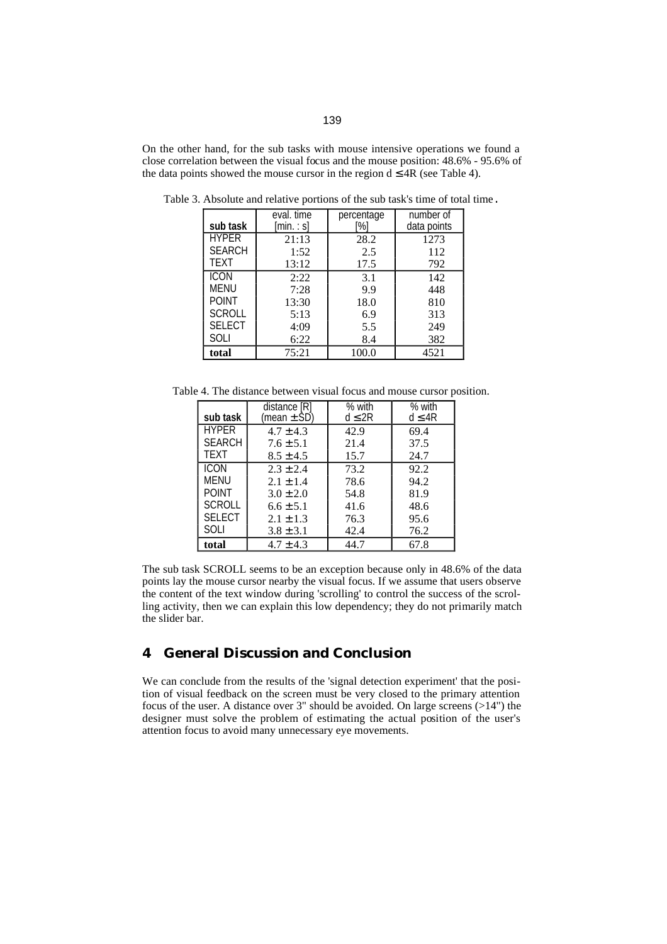On the other hand, for the sub tasks with mouse intensive operations we found a close correlation between the visual focus and the mouse position: 48.6% - 95.6% of the data points showed the mouse cursor in the region  $d \leq 4R$  (see Table 4).

| sub task      | eval. time<br>[min.: s] | percentage<br>[%] | number of<br>data points |
|---------------|-------------------------|-------------------|--------------------------|
| <b>HYPER</b>  | 21:13                   | 28.2              | 1273                     |
| <b>SEARCH</b> | 1:52                    | 2.5               | 112                      |
| TEXT          | 13:12                   | 17.5              | 792                      |
| ICON          | 2:22                    | 3.1               | 142                      |
| MENU          | 7:28                    | 9.9               | 448                      |
| <b>POINT</b>  | 13:30                   | 18.0              | 810                      |
| <b>SCROLL</b> | 5:13                    | 6.9               | 313                      |
| <b>SELECT</b> | 4:09                    | 5.5               | 249                      |
| SOLI          | 6:22                    | 8.4               | 382                      |
| total         | 75:21                   | 100.0             | 4521                     |

Table 3. Absolute and relative portions of the sub task's time of total time.

Table 4. The distance between visual focus and mouse cursor position.

|               | distance [R]    | % with      | % with      |
|---------------|-----------------|-------------|-------------|
| sub task      | (mean $\pm$ SD) | $d \leq 2R$ | $d \leq 4R$ |
| <b>HYPER</b>  | $4.7 \pm 4.3$   | 42.9        | 69.4        |
| <b>SFARCH</b> | $7.6 \pm 5.1$   | 21.4        | 37.5        |
| <b>TEXT</b>   | $8.5 \pm 4.5$   | 15.7        | 24.7        |
| <b>ICON</b>   | $2.3 \pm 2.4$   | 73.2        | 92.2        |
| MENU          | $2.1 \pm 1.4$   | 78.6        | 94.2        |
| <b>POINT</b>  | $3.0 \pm 2.0$   | 54.8        | 81.9        |
| <b>SCROLL</b> | $6.6 \pm 5.1$   | 41.6        | 48.6        |
| <b>SELECT</b> | $2.1 \pm 1.3$   | 76.3        | 95.6        |
| SOLI          | $3.8 \pm 3.1$   | 42.4        | 76.2        |
| total         | $4.7 \pm 4.3$   | 44.7        | 67.8        |

The sub task SCROLL seems to be an exception because only in 48.6% of the data points lay the mouse cursor nearby the visual focus. If we assume that users observe the content of the text window during 'scrolling' to control the success of the scrolling activity, then we can explain this low dependency; they do not primarily match the slider bar.

# **4 General Discussion and Conclusion**

We can conclude from the results of the 'signal detection experiment' that the position of visual feedback on the screen must be very closed to the primary attention focus of the user. A distance over 3" should be avoided. On large screens (>14") the designer must solve the problem of estimating the actual position of the user's attention focus to avoid many unnecessary eye movements.